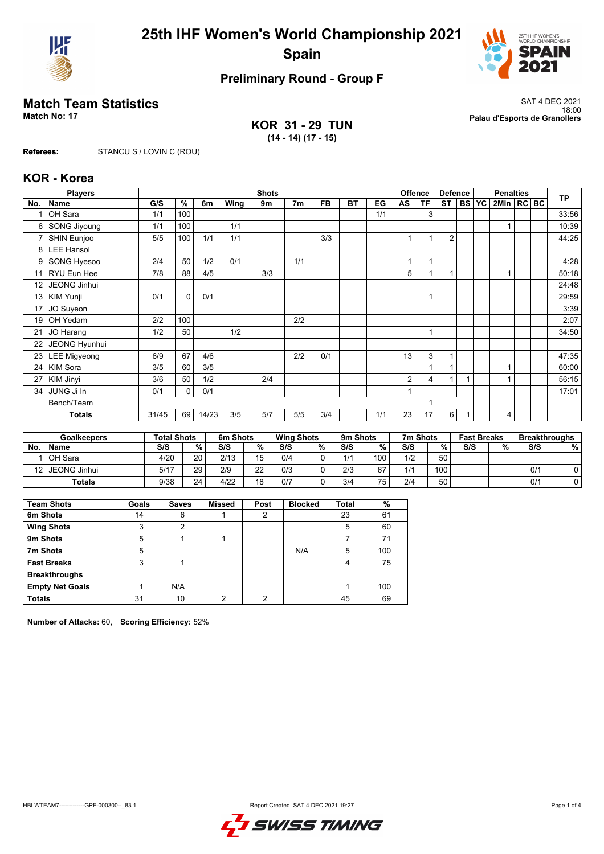



# **Preliminary Round - Group F**

**KOR 31 - 29 TUN (14 - 14) (17 - 15)**

**Match Team Statistics** SAT 4 DEC 2021 18:00 **Match No: 17 Palau d'Esports de Granollers**

**Referees:** STANCU S / LOVIN C (ROU)

### **KOR - Korea**

|                 | <b>Players</b>      |       | <b>Shots</b> |       |      |     |                |           |           |     |              |           | <b>Offence</b><br><b>Defence</b> |           | <b>Penalties</b> |                |  |  | <b>TP</b> |
|-----------------|---------------------|-------|--------------|-------|------|-----|----------------|-----------|-----------|-----|--------------|-----------|----------------------------------|-----------|------------------|----------------|--|--|-----------|
| No.             | <b>Name</b>         | G/S   | %            | 6m    | Wing | 9m  | 7 <sub>m</sub> | <b>FB</b> | <b>BT</b> | EG  | AS           | <b>TF</b> | <b>ST</b>                        | <b>BS</b> | <b>YC</b>        | 2Min   RC   BC |  |  |           |
|                 | OH Sara             | 1/1   | 100          |       |      |     |                |           |           | 1/1 |              | 3         |                                  |           |                  |                |  |  | 33:56     |
| 6               | SONG Jiyoung        | 1/1   | 100          |       | 1/1  |     |                |           |           |     |              |           |                                  |           |                  |                |  |  | 10:39     |
| 7               | SHIN Eunjoo         | 5/5   | 100          | 1/1   | 1/1  |     |                | 3/3       |           |     | 1            | 1         | $\overline{2}$                   |           |                  |                |  |  | 44:25     |
| 8               | <b>LEE Hansol</b>   |       |              |       |      |     |                |           |           |     |              |           |                                  |           |                  |                |  |  |           |
| 9               | SONG Hyesoo         | 2/4   | 50           | 1/2   | 0/1  |     | 1/1            |           |           |     | 1            | 1         |                                  |           |                  |                |  |  | 4:28      |
| 11              | RYU Eun Hee         | 7/8   | 88           | 4/5   |      | 3/3 |                |           |           |     | 5            | 1         |                                  |           |                  | 1              |  |  | 50:18     |
| 12              | JEONG Jinhui        |       |              |       |      |     |                |           |           |     |              |           |                                  |           |                  |                |  |  | 24:48     |
| 13              | KIM Yunji           | 0/1   | $\Omega$     | 0/1   |      |     |                |           |           |     |              | 1         |                                  |           |                  |                |  |  | 29:59     |
| 17              | JO Suyeon           |       |              |       |      |     |                |           |           |     |              |           |                                  |           |                  |                |  |  | 3:39      |
| 19              | OH Yedam            | 2/2   | 100          |       |      |     | 2/2            |           |           |     |              |           |                                  |           |                  |                |  |  | 2:07      |
| 21              | JO Harang           | 1/2   | 50           |       | 1/2  |     |                |           |           |     |              | 1         |                                  |           |                  |                |  |  | 34:50     |
| 22              | JEONG Hyunhui       |       |              |       |      |     |                |           |           |     |              |           |                                  |           |                  |                |  |  |           |
| 23              | <b>LEE Migyeong</b> | 6/9   | 67           | 4/6   |      |     | 2/2            | 0/1       |           |     | 13           | 3         | 1                                |           |                  |                |  |  | 47:35     |
| 24 <sup>1</sup> | <b>KIM Sora</b>     | 3/5   | 60           | 3/5   |      |     |                |           |           |     |              |           |                                  |           |                  |                |  |  | 60:00     |
| 27              | KIM Jinyi           | 3/6   | 50           | 1/2   |      | 2/4 |                |           |           |     | 2            | 4         | 1                                |           |                  |                |  |  | 56:15     |
| 34              | JUNG Ji In          | 0/1   | 0            | 0/1   |      |     |                |           |           |     | $\mathbf{1}$ |           |                                  |           |                  |                |  |  | 17:01     |
| Bench/Team      |                     |       |              |       |      |     |                | 1         |           |     |              |           |                                  |           |                  |                |  |  |           |
|                 | <b>Totals</b>       | 31/45 | 69           | 14/23 | 3/5  | 5/7 | 5/5            | 3/4       |           | 1/1 | 23           | 17        | 6                                |           |                  | 4              |  |  |           |

| <b>Goalkeepers</b> |               | <b>Total Shots</b> |                 | 6m Shots |      | <b>Wing Shots</b> |   | 9m Shots |     | 7m Shots |      | <b>Fast Breaks</b> |   | <b>Breakthroughs</b> |   |
|--------------------|---------------|--------------------|-----------------|----------|------|-------------------|---|----------|-----|----------|------|--------------------|---|----------------------|---|
| No.                | <b>Name</b>   | S/S                | %               | S/S      | $\%$ | S/S               | % | S/S      | %   | S/S      | %    | S/S                | % | S/S                  | % |
|                    | OH Sara       | 4/20               | 20 <sub>1</sub> | 2/13     | 15   | 0/4               |   | 1/1      | 100 | 1/2      | 50   |                    |   |                      |   |
| 12                 | JEONG Jinhui  | 5/17               | 29              | 2/9      | 22   | 0/3               |   | 2/3      | 67  | 1/1      | 100. |                    |   | 0/1                  |   |
|                    | <b>Totals</b> | 9/38               | 24              | 4/22     | 18   | 0/7               |   | 3/4      | 75. | 2/4      | 50   |                    |   | 0/1                  |   |

| <b>Team Shots</b>      | Goals | <b>Saves</b> | <b>Missed</b> | Post | <b>Blocked</b> | <b>Total</b> | %   |
|------------------------|-------|--------------|---------------|------|----------------|--------------|-----|
| 6m Shots               | 14    | 6            |               | 2    |                | 23           | 61  |
| <b>Wing Shots</b>      | 3     | 2            |               |      |                | 5            | 60  |
| 9m Shots               | 5     |              |               |      |                |              | 71  |
| 7m Shots               | 5     |              |               |      | N/A            | 5            | 100 |
| <b>Fast Breaks</b>     | 3     |              |               |      |                | 4            | 75  |
| <b>Breakthroughs</b>   |       |              |               |      |                |              |     |
| <b>Empty Net Goals</b> |       | N/A          |               |      |                |              | 100 |
| <b>Totals</b>          | 31    | 10           | ◠             | ◠    |                | 45           | 69  |

**Number of Attacks:** 60, **Scoring Efficiency:** 52%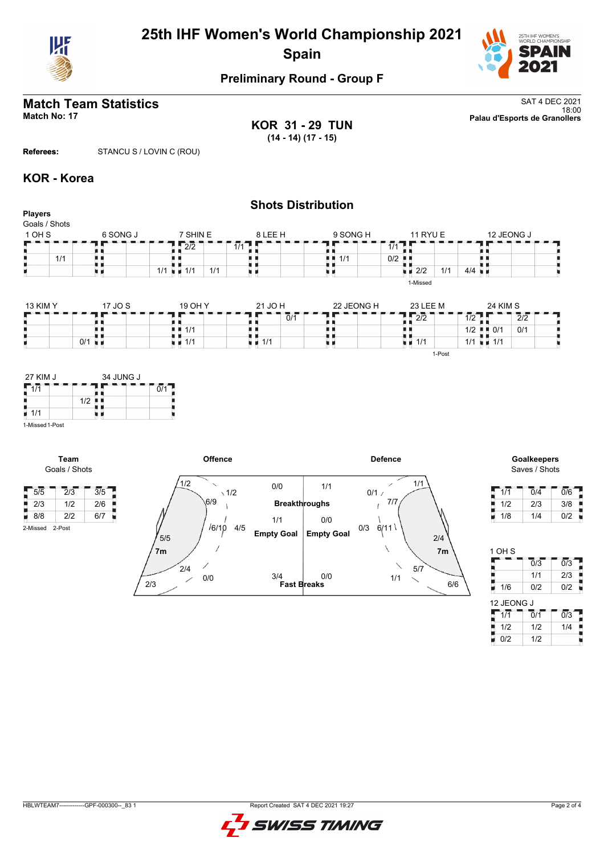

# **25th IHF Women's World Championship 2021 Spain**



# **Preliminary Round - Group F**

**KOR 31 - 29 TUN (14 - 14) (17 - 15)**

**Match Team Statistics** SAT 4 DEC 2021 18:00 **Match No: 17 Palau d'Esports de Granollers**

**Referees:** STANCU S / LOVIN C (ROU)

### **KOR - Korea**

|                                           |                      |                                                        | <b>Shots Distribution</b>         |            |                                                                   |                                                 |
|-------------------------------------------|----------------------|--------------------------------------------------------|-----------------------------------|------------|-------------------------------------------------------------------|-------------------------------------------------|
| <b>Players</b><br>Goals / Shots<br>1 OH S | 6 SONG J             | 7 SHIN E                                               | 8 LEE H                           | 9 SONG H   | <b>11 RYU E</b>                                                   | 12 JEONG J                                      |
| 1/1                                       |                      | $\frac{1}{2}$ 2/2<br>$1/1$ $\blacksquare$ $1/1$<br>1/1 | $1/1$ $\Box$<br>uг                | 1/1<br>. . | $1/1$ $\Box$<br>0/2<br>ш<br>$\blacksquare$ 2/2<br>1/1<br>1-Missed | $4/4$ $\blacksquare$                            |
| <b>13 KIM Y</b>                           | 17 JO S              | 19 OH Y                                                | 21 JO H                           | 22 JEONG H | 23 LEE M                                                          | <b>24 KIM S</b>                                 |
|                                           |                      |                                                        | $\overline{0}/\overline{1}$       |            | $\sqrt{2/2}$<br>. .                                               | $\overline{1/2}$<br>$\overline{2}/\overline{2}$ |
|                                           |                      | 1/1<br>. .                                             |                                   |            | . .<br>4 F                                                        | 0/1<br>$1/2$ $\blacksquare$ $0/1$               |
|                                           | $0/1$ $\blacksquare$ | $\blacksquare$ $\blacksquare$ 1/1                      | $\blacksquare$ $\blacksquare$ 1/1 |            | $\blacksquare$ $\blacksquare$ 1/1                                 | $1/1 = 1/1$                                     |
|                                           |                      |                                                        |                                   |            | 1-Post                                                            |                                                 |



**Team** Goals / Shots

2-Missed 2-Post



Saves / Shots

| 1/1 | 0/4 | 0/6 |
|-----|-----|-----|
| 1/2 | 2/3 | 3/8 |
| 1/8 | 1/4 | 0/2 |

| 1 OH S     |                  |                  |
|------------|------------------|------------------|
|            | $\overline{0}/3$ | $\overline{0/3}$ |
|            | 1/1              | 2/3              |
| 1/6        | 0/2              | 0/2              |
| 12 JEONG J |                  |                  |
| 1/1        | Ō/1              | $\overline{0/3}$ |
| 1/2        | 1/2              | 1/4              |
| 0/2        | 1/2              |                  |

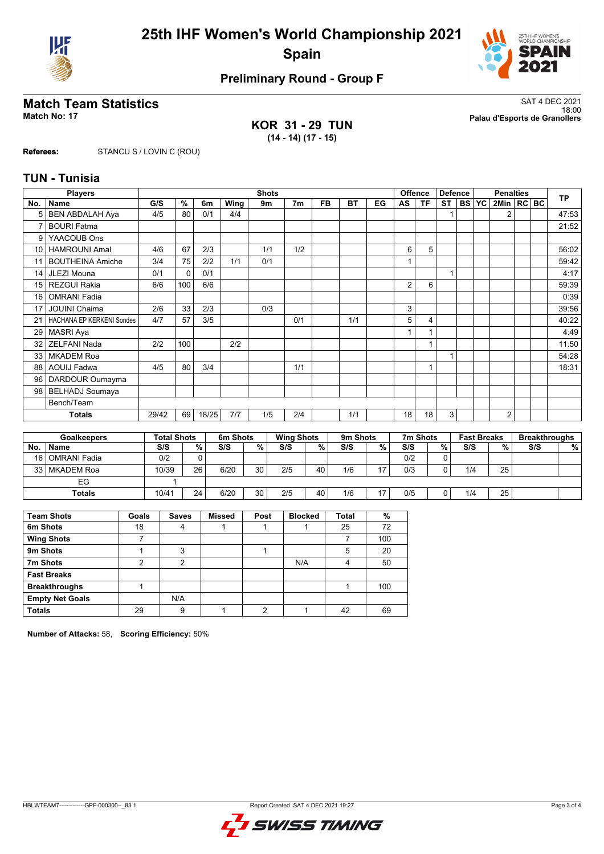



# **Preliminary Round - Group F**

**KOR 31 - 29 TUN (14 - 14) (17 - 15)**

**Match Team Statistics** SAT 4 DEC 2021 18:00 **Match No: 17 Palau d'Esports de Granollers**

**Referees:** STANCU S / LOVIN C (ROU)

### **TUN - Tunisia**

| <b>Players</b>  |                           |       | <b>Shots</b><br><b>Offence</b> |       |      |     |     |           |           |    |    |           | <b>Defence</b> |  | <b>Penalties</b> |                |  |  | <b>TP</b> |
|-----------------|---------------------------|-------|--------------------------------|-------|------|-----|-----|-----------|-----------|----|----|-----------|----------------|--|------------------|----------------|--|--|-----------|
| No.             | <b>Name</b>               | G/S   | %                              | 6m    | Wing | 9m  | 7m  | <b>FB</b> | <b>BT</b> | EG | AS | <b>TF</b> | ST             |  | <b>BS YC</b>     | 2Min   RC BC   |  |  |           |
| 5               | <b>BEN ABDALAH Aya</b>    | 4/5   | 80                             | 0/1   | 4/4  |     |     |           |           |    |    |           |                |  |                  | $\overline{2}$ |  |  | 47:53     |
| 7               | <b>BOURI Fatma</b>        |       |                                |       |      |     |     |           |           |    |    |           |                |  |                  |                |  |  | 21:52     |
| 9               | YAACOUB Ons               |       |                                |       |      |     |     |           |           |    |    |           |                |  |                  |                |  |  |           |
| 10 <sup>1</sup> | <b>HAMROUNI Amal</b>      | 4/6   | 67                             | 2/3   |      | 1/1 | 1/2 |           |           |    | 6  | 5         |                |  |                  |                |  |  | 56:02     |
| 11              | <b>BOUTHEINA Amiche</b>   | 3/4   | 75                             | 2/2   | 1/1  | 0/1 |     |           |           |    |    |           |                |  |                  |                |  |  | 59:42     |
| 14              | JLEZI Mouna               | 0/1   | 0                              | 0/1   |      |     |     |           |           |    |    |           | 4              |  |                  |                |  |  | 4:17      |
| 15 <sub>1</sub> | <b>REZGUI Rakia</b>       | 6/6   | 100                            | 6/6   |      |     |     |           |           |    | 2  | 6         |                |  |                  |                |  |  | 59:39     |
| 16              | <b>OMRANI Fadia</b>       |       |                                |       |      |     |     |           |           |    |    |           |                |  |                  |                |  |  | 0:39      |
| 17              | <b>JOUINI Chaima</b>      | 2/6   | 33                             | 2/3   |      | 0/3 |     |           |           |    | 3  |           |                |  |                  |                |  |  | 39:56     |
| 21              | HACHANA EP KERKENI Sondes | 4/7   | 57                             | 3/5   |      |     | 0/1 |           | 1/1       |    | 5  | 4         |                |  |                  |                |  |  | 40:22     |
| 29              | <b>MASRI Aya</b>          |       |                                |       |      |     |     |           |           |    |    |           |                |  |                  |                |  |  | 4:49      |
| 32              | <b>ZELFANI Nada</b>       | 2/2   | 100                            |       | 2/2  |     |     |           |           |    |    |           |                |  |                  |                |  |  | 11:50     |
| 33              | <b>MKADEM Roa</b>         |       |                                |       |      |     |     |           |           |    |    |           |                |  |                  |                |  |  | 54:28     |
| 88              | <b>AOUIJ Fadwa</b>        | 4/5   | 80                             | 3/4   |      |     | 1/1 |           |           |    |    | 1         |                |  |                  |                |  |  | 18:31     |
| 96 <sup>1</sup> | DARDOUR Oumayma           |       |                                |       |      |     |     |           |           |    |    |           |                |  |                  |                |  |  |           |
| 98 l            | BELHADJ Soumaya           |       |                                |       |      |     |     |           |           |    |    |           |                |  |                  |                |  |  |           |
|                 | Bench/Team                |       |                                |       |      |     |     |           |           |    |    |           |                |  |                  |                |  |  |           |
|                 | <b>Totals</b>             | 29/42 | 69                             | 18/25 | 7/7  | 1/5 | 2/4 |           | 1/1       |    | 18 | 18        | 3              |  |                  | $\overline{2}$ |  |  |           |

| <b>Goalkeepers</b> |                |       | <b>Total Shots</b> |      | 6m Shots |     | <b>Wing Shots</b> |     | 9m Shots |     | 7m Shots |     | <b>Fast Breaks</b> | <b>Breakthroughs</b> |   |
|--------------------|----------------|-------|--------------------|------|----------|-----|-------------------|-----|----------|-----|----------|-----|--------------------|----------------------|---|
| No.                | <b>Name</b>    | S/S   | %                  | S/S  | %        | S/S | %                 | S/S | %        | S/S | %        | S/S | %                  | S/S                  | % |
| 16 I               | l OMRANI Fadia | 0/2   |                    |      |          |     |                   |     |          | 0/2 | 0        |     |                    |                      |   |
| 33 <sup>1</sup>    | I MKADEM Roa   | 10/39 | 26                 | 6/20 | 30       | 2/5 | 40                | 1/6 | 17       | 0/3 | 0        | 1/4 | 25                 |                      |   |
|                    | EG             |       |                    |      |          |     |                   |     |          |     |          |     |                    |                      |   |
|                    | Totals         | 10/41 | 24                 | 6/20 | 30       | 2/5 | 40                | 1/6 | 17       | 0/5 | 0        | 1/4 | 25                 |                      |   |

| <b>Team Shots</b>      | Goals | <b>Saves</b> | <b>Missed</b> | Post | <b>Blocked</b> | <b>Total</b> | %   |
|------------------------|-------|--------------|---------------|------|----------------|--------------|-----|
| 6m Shots               | 18    |              |               |      |                | 25           | 72  |
| <b>Wing Shots</b>      |       |              |               |      |                |              | 100 |
| 9m Shots               |       | 3            |               |      |                | 5            | 20  |
| 7m Shots               | 2     | 2            |               |      | N/A            | 4            | 50  |
| <b>Fast Breaks</b>     |       |              |               |      |                |              |     |
| <b>Breakthroughs</b>   |       |              |               |      |                |              | 100 |
| <b>Empty Net Goals</b> |       | N/A          |               |      |                |              |     |
| <b>Totals</b>          | 29    | 9            |               | ◠    |                | 42           | 69  |

**Number of Attacks:** 58, **Scoring Efficiency:** 50%